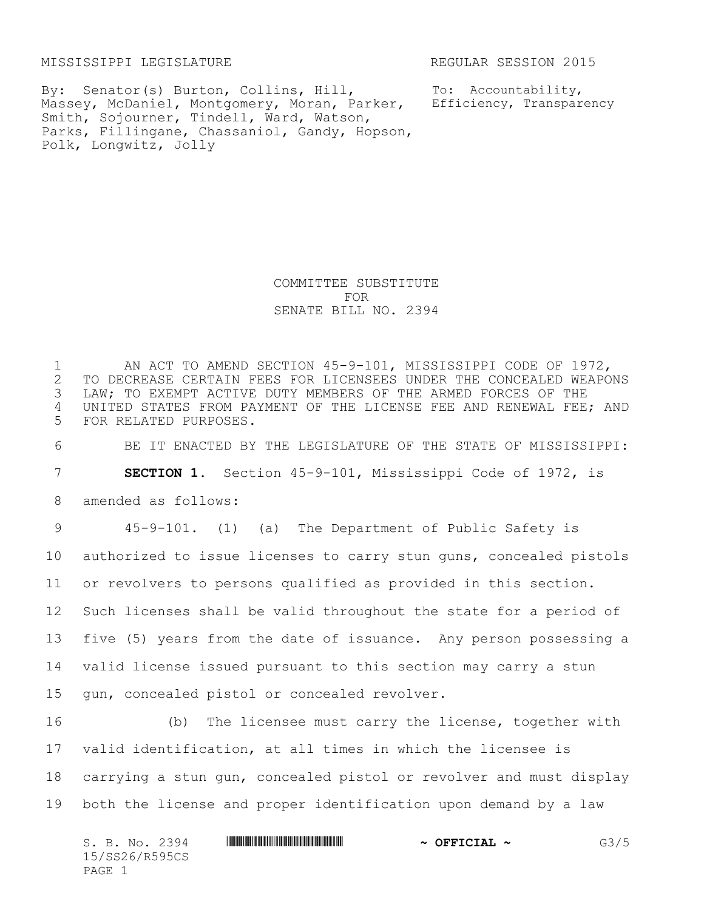MISSISSIPPI LEGISLATURE **REGULAR SESSION 2015** 

Massey, McDaniel, Montgomery, Moran, Parker, Efficiency, Transparency By: Senator(s) Burton, Collins, Hill, Smith, Sojourner, Tindell, Ward, Watson, Parks, Fillingane, Chassaniol, Gandy, Hopson, Polk, Longwitz, Jolly

To: Accountability,

COMMITTEE SUBSTITUTE FOR SENATE BILL NO. 2394

1 AN ACT TO AMEND SECTION 45-9-101, MISSISSIPPI CODE OF 1972,<br>2 TO DECREASE CERTAIN FEES FOR LICENSEES UNDER THE CONCEALED WEAPO 2 TO DECREASE CERTAIN FEES FOR LICENSEES UNDER THE CONCEALED WEAPONS<br>3 LAW; TO EXEMPT ACTIVE DUTY MEMBERS OF THE ARMED FORCES OF THE LAW; TO EXEMPT ACTIVE DUTY MEMBERS OF THE ARMED FORCES OF THE 4 UNITED STATES FROM PAYMENT OF THE LICENSE FEE AND RENEWAL FEE; AND 5 FOR RELATED PURPOSES.

6 BE IT ENACTED BY THE LEGISLATURE OF THE STATE OF MISSISSIPPI:

7 **SECTION 1.** Section 45-9-101, Mississippi Code of 1972, is

8 amended as follows:

 45-9-101. (1) (a) The Department of Public Safety is authorized to issue licenses to carry stun guns, concealed pistols or revolvers to persons qualified as provided in this section. Such licenses shall be valid throughout the state for a period of five (5) years from the date of issuance. Any person possessing a valid license issued pursuant to this section may carry a stun gun, concealed pistol or concealed revolver.

 (b) The licensee must carry the license, together with valid identification, at all times in which the licensee is carrying a stun gun, concealed pistol or revolver and must display both the license and proper identification upon demand by a law

S. B. No. 2394 **\*\*\* ASSECTED THE FILLER PROPERTION ASSECTED ASSECTED ASSECTED ASSECTED ASSECTED ASSECTED ASSECTED ASSECTED ASSECTED ASSECTED ASSECTED ASSECTED ASSECTED ASSECTED ASSECTED ASSECTED ASSECTED ASSECTED ASSECTED** 15/SS26/R595CS PAGE 1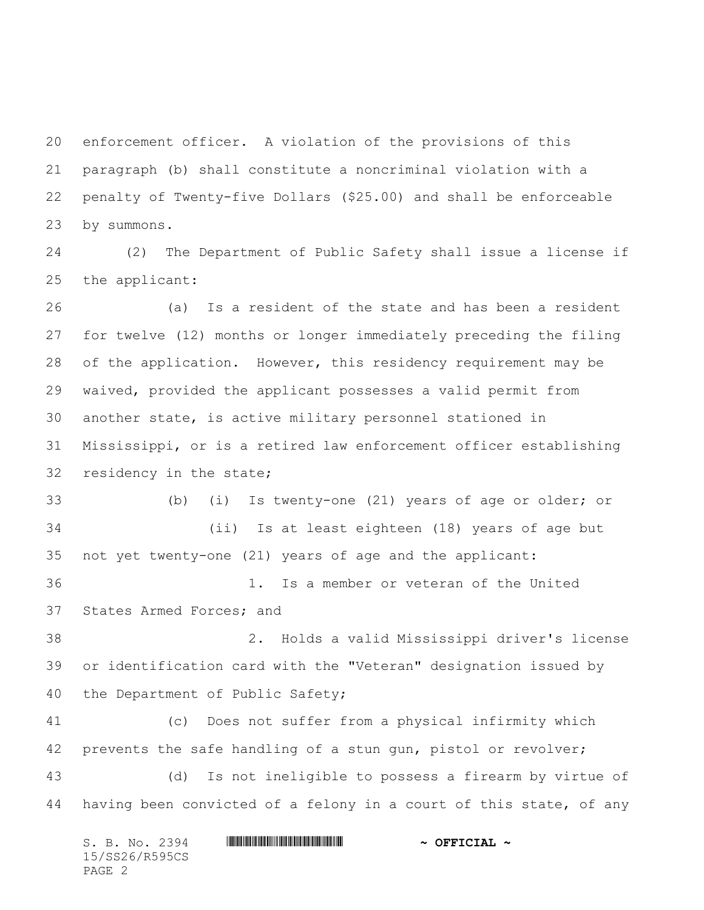enforcement officer. A violation of the provisions of this paragraph (b) shall constitute a noncriminal violation with a penalty of Twenty-five Dollars (\$25.00) and shall be enforceable by summons.

 (2) The Department of Public Safety shall issue a license if the applicant:

 (a) Is a resident of the state and has been a resident for twelve (12) months or longer immediately preceding the filing of the application. However, this residency requirement may be waived, provided the applicant possesses a valid permit from another state, is active military personnel stationed in Mississippi, or is a retired law enforcement officer establishing residency in the state; (b) (i) Is twenty-one (21) years of age or older; or (ii) Is at least eighteen (18) years of age but not yet twenty-one (21) years of age and the applicant: 1. Is a member or veteran of the United States Armed Forces; and 2. Holds a valid Mississippi driver's license or identification card with the "Veteran" designation issued by the Department of Public Safety; (c) Does not suffer from a physical infirmity which prevents the safe handling of a stun gun, pistol or revolver; (d) Is not ineligible to possess a firearm by virtue of having been convicted of a felony in a court of this state, of any

|        |  | S. B. No. 2394 |  | $\sim$ OFFICIAL $\sim$ |
|--------|--|----------------|--|------------------------|
|        |  | 15/SS26/R595CS |  |                        |
| PAGE 2 |  |                |  |                        |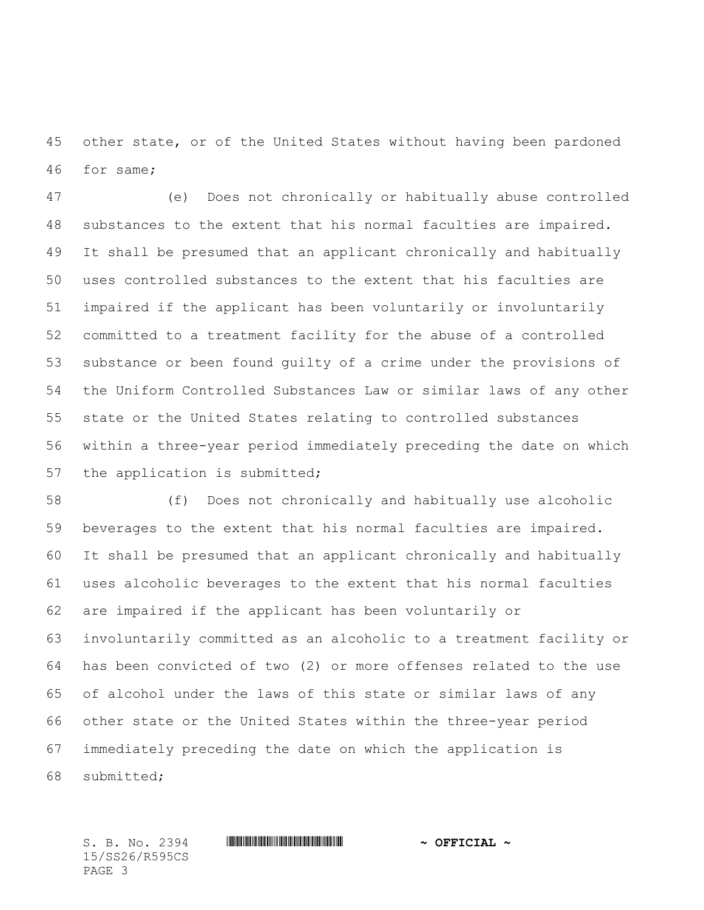other state, or of the United States without having been pardoned for same;

 (e) Does not chronically or habitually abuse controlled substances to the extent that his normal faculties are impaired. It shall be presumed that an applicant chronically and habitually uses controlled substances to the extent that his faculties are impaired if the applicant has been voluntarily or involuntarily committed to a treatment facility for the abuse of a controlled substance or been found guilty of a crime under the provisions of the Uniform Controlled Substances Law or similar laws of any other state or the United States relating to controlled substances within a three-year period immediately preceding the date on which 57 the application is submitted;

 (f) Does not chronically and habitually use alcoholic beverages to the extent that his normal faculties are impaired. It shall be presumed that an applicant chronically and habitually uses alcoholic beverages to the extent that his normal faculties are impaired if the applicant has been voluntarily or involuntarily committed as an alcoholic to a treatment facility or has been convicted of two (2) or more offenses related to the use of alcohol under the laws of this state or similar laws of any other state or the United States within the three-year period immediately preceding the date on which the application is submitted;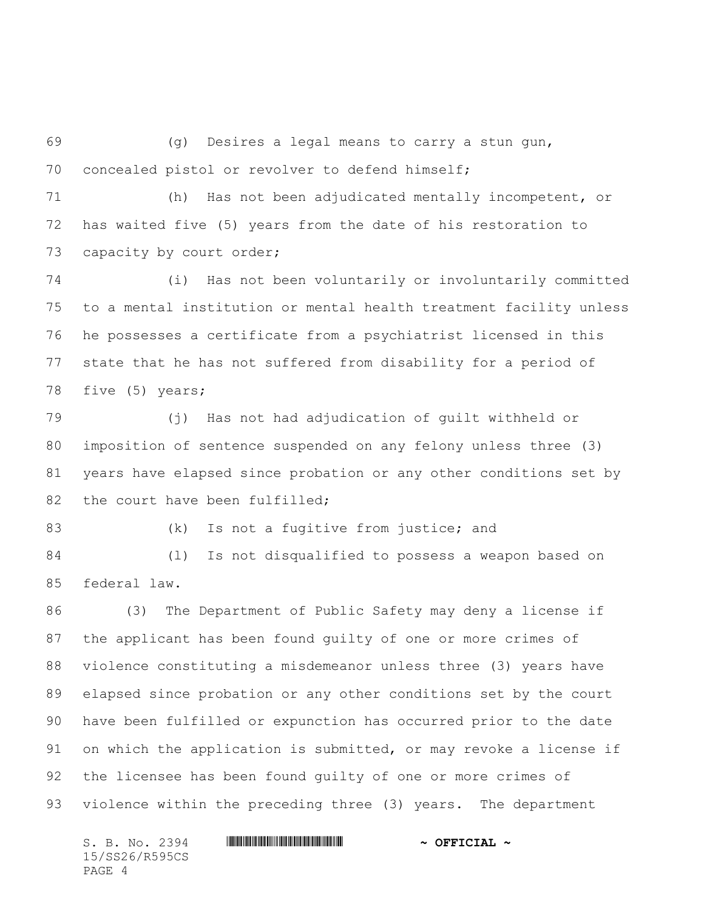(g) Desires a legal means to carry a stun gun, concealed pistol or revolver to defend himself;

 (h) Has not been adjudicated mentally incompetent, or has waited five (5) years from the date of his restoration to 73 capacity by court order;

 (i) Has not been voluntarily or involuntarily committed to a mental institution or mental health treatment facility unless he possesses a certificate from a psychiatrist licensed in this state that he has not suffered from disability for a period of five (5) years;

 (j) Has not had adjudication of guilt withheld or imposition of sentence suspended on any felony unless three (3) years have elapsed since probation or any other conditions set by 82 the court have been fulfilled;

83 (k) Is not a fugitive from justice; and

 (l) Is not disqualified to possess a weapon based on federal law.

 (3) The Department of Public Safety may deny a license if the applicant has been found guilty of one or more crimes of violence constituting a misdemeanor unless three (3) years have elapsed since probation or any other conditions set by the court have been fulfilled or expunction has occurred prior to the date on which the application is submitted, or may revoke a license if the licensee has been found guilty of one or more crimes of violence within the preceding three (3) years. The department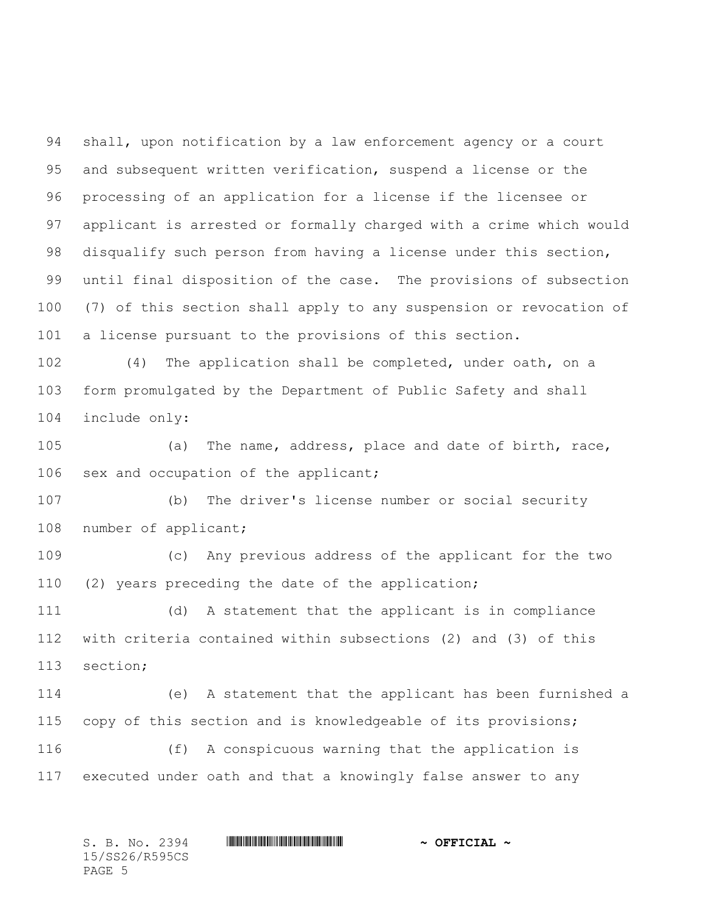shall, upon notification by a law enforcement agency or a court and subsequent written verification, suspend a license or the processing of an application for a license if the licensee or applicant is arrested or formally charged with a crime which would disqualify such person from having a license under this section, until final disposition of the case. The provisions of subsection (7) of this section shall apply to any suspension or revocation of a license pursuant to the provisions of this section.

 (4) The application shall be completed, under oath, on a form promulgated by the Department of Public Safety and shall include only:

 (a) The name, address, place and date of birth, race, sex and occupation of the applicant;

 (b) The driver's license number or social security 108 number of applicant;

 (c) Any previous address of the applicant for the two (2) years preceding the date of the application;

 (d) A statement that the applicant is in compliance with criteria contained within subsections (2) and (3) of this section;

 (e) A statement that the applicant has been furnished a copy of this section and is knowledgeable of its provisions; (f) A conspicuous warning that the application is

executed under oath and that a knowingly false answer to any

S. B. No. 2394 **\*\*\* ASSEEM** \*\*\* **\*\*\* ASSEEMENT \*\*\* \*\*\* \*\* ~\*\* OFFICIAL ~** 15/SS26/R595CS PAGE 5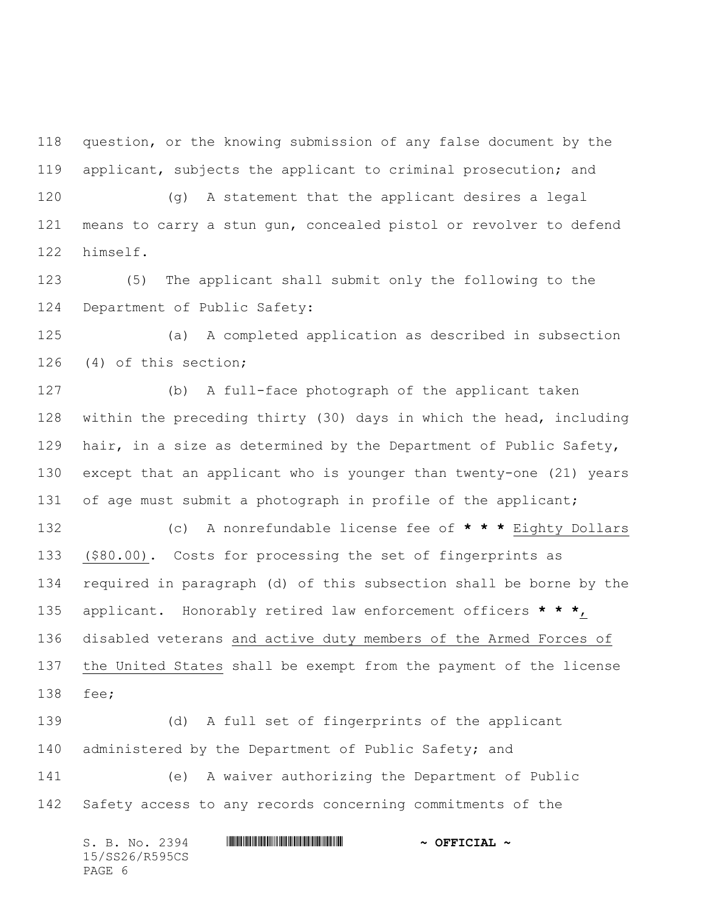question, or the knowing submission of any false document by the applicant, subjects the applicant to criminal prosecution; and

 (g) A statement that the applicant desires a legal means to carry a stun gun, concealed pistol or revolver to defend himself.

 (5) The applicant shall submit only the following to the Department of Public Safety:

 (a) A completed application as described in subsection (4) of this section;

 (b) A full-face photograph of the applicant taken within the preceding thirty (30) days in which the head, including 129 hair, in a size as determined by the Department of Public Safety, except that an applicant who is younger than twenty-one (21) years 131 of age must submit a photograph in profile of the applicant;

 (c) A nonrefundable license fee of **\* \* \*** Eighty Dollars (\$80.00). Costs for processing the set of fingerprints as required in paragraph (d) of this subsection shall be borne by the applicant. Honorably retired law enforcement officers **\* \* \***, disabled veterans and active duty members of the Armed Forces of the United States shall be exempt from the payment of the license fee;

 (d) A full set of fingerprints of the applicant 140 administered by the Department of Public Safety; and (e) A waiver authorizing the Department of Public Safety access to any records concerning commitments of the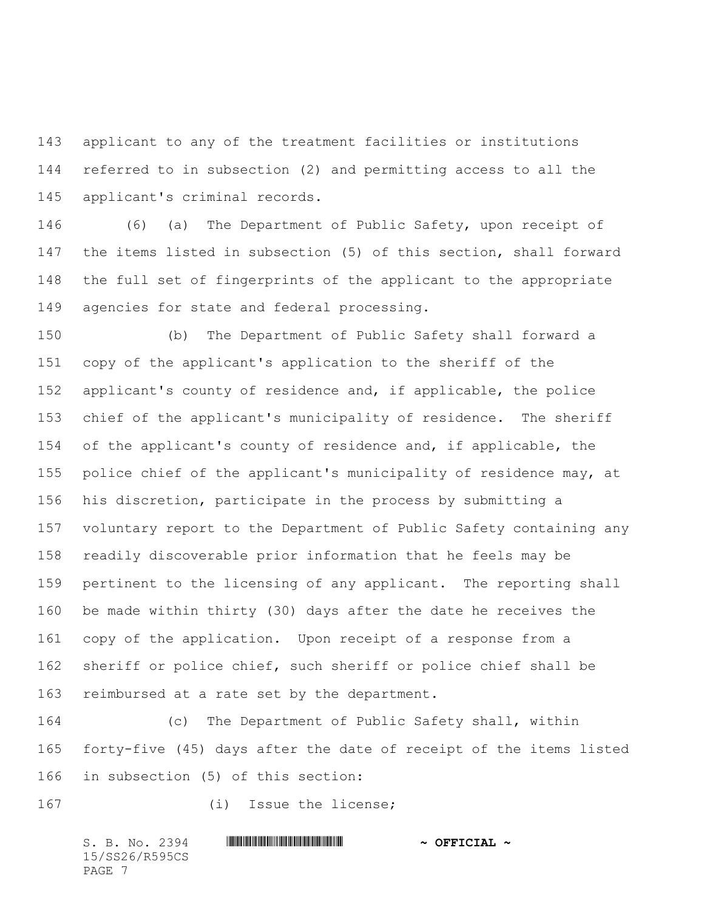applicant to any of the treatment facilities or institutions referred to in subsection (2) and permitting access to all the applicant's criminal records.

 (6) (a) The Department of Public Safety, upon receipt of the items listed in subsection (5) of this section, shall forward the full set of fingerprints of the applicant to the appropriate agencies for state and federal processing.

 (b) The Department of Public Safety shall forward a copy of the applicant's application to the sheriff of the applicant's county of residence and, if applicable, the police chief of the applicant's municipality of residence. The sheriff of the applicant's county of residence and, if applicable, the police chief of the applicant's municipality of residence may, at his discretion, participate in the process by submitting a voluntary report to the Department of Public Safety containing any readily discoverable prior information that he feels may be pertinent to the licensing of any applicant. The reporting shall be made within thirty (30) days after the date he receives the copy of the application. Upon receipt of a response from a sheriff or police chief, such sheriff or police chief shall be reimbursed at a rate set by the department.

 (c) The Department of Public Safety shall, within forty-five (45) days after the date of receipt of the items listed in subsection (5) of this section:

(i) Issue the license;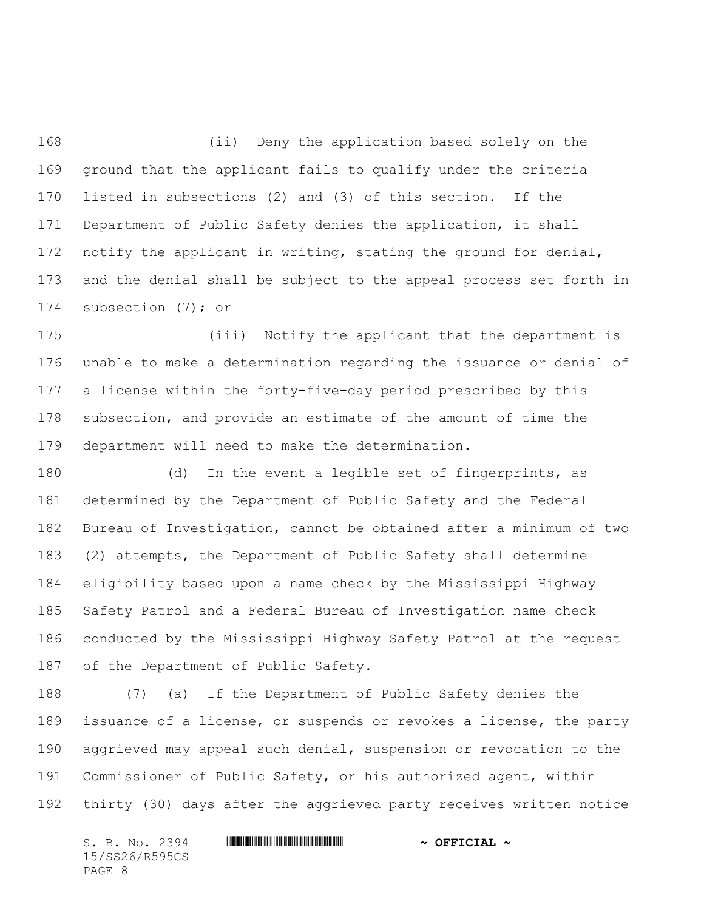(ii) Deny the application based solely on the ground that the applicant fails to qualify under the criteria listed in subsections (2) and (3) of this section. If the Department of Public Safety denies the application, it shall 172 notify the applicant in writing, stating the ground for denial, and the denial shall be subject to the appeal process set forth in subsection (7); or

 (iii) Notify the applicant that the department is unable to make a determination regarding the issuance or denial of a license within the forty-five-day period prescribed by this subsection, and provide an estimate of the amount of time the department will need to make the determination.

 (d) In the event a legible set of fingerprints, as determined by the Department of Public Safety and the Federal Bureau of Investigation, cannot be obtained after a minimum of two (2) attempts, the Department of Public Safety shall determine eligibility based upon a name check by the Mississippi Highway Safety Patrol and a Federal Bureau of Investigation name check conducted by the Mississippi Highway Safety Patrol at the request of the Department of Public Safety.

 (7) (a) If the Department of Public Safety denies the issuance of a license, or suspends or revokes a license, the party aggrieved may appeal such denial, suspension or revocation to the Commissioner of Public Safety, or his authorized agent, within thirty (30) days after the aggrieved party receives written notice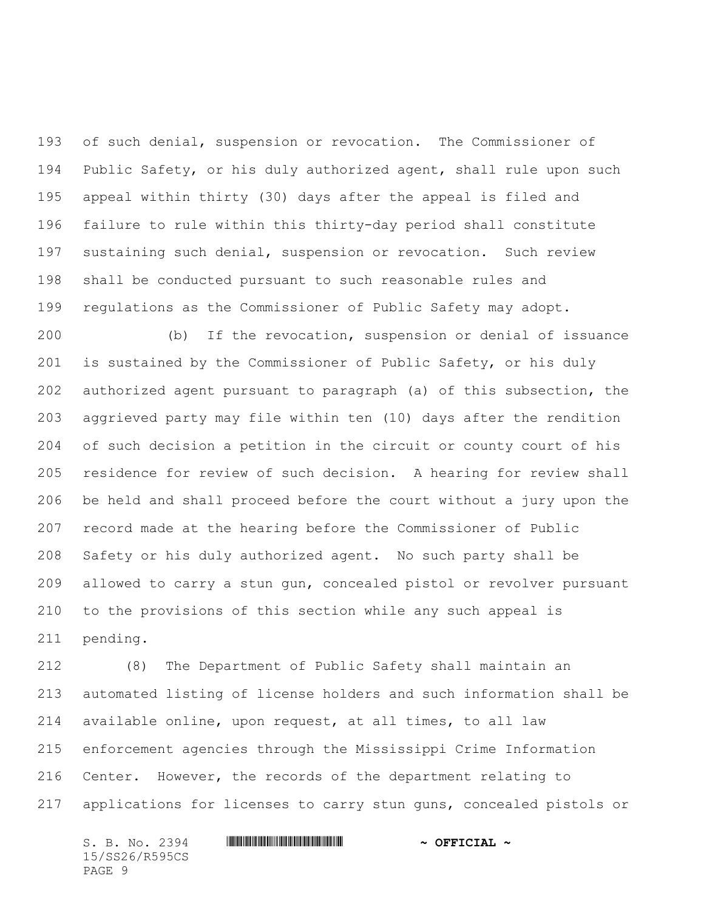of such denial, suspension or revocation. The Commissioner of Public Safety, or his duly authorized agent, shall rule upon such appeal within thirty (30) days after the appeal is filed and failure to rule within this thirty-day period shall constitute sustaining such denial, suspension or revocation. Such review shall be conducted pursuant to such reasonable rules and regulations as the Commissioner of Public Safety may adopt.

 (b) If the revocation, suspension or denial of issuance is sustained by the Commissioner of Public Safety, or his duly authorized agent pursuant to paragraph (a) of this subsection, the aggrieved party may file within ten (10) days after the rendition of such decision a petition in the circuit or county court of his residence for review of such decision. A hearing for review shall be held and shall proceed before the court without a jury upon the record made at the hearing before the Commissioner of Public Safety or his duly authorized agent. No such party shall be allowed to carry a stun gun, concealed pistol or revolver pursuant to the provisions of this section while any such appeal is pending.

 (8) The Department of Public Safety shall maintain an automated listing of license holders and such information shall be available online, upon request, at all times, to all law enforcement agencies through the Mississippi Crime Information Center. However, the records of the department relating to applications for licenses to carry stun guns, concealed pistols or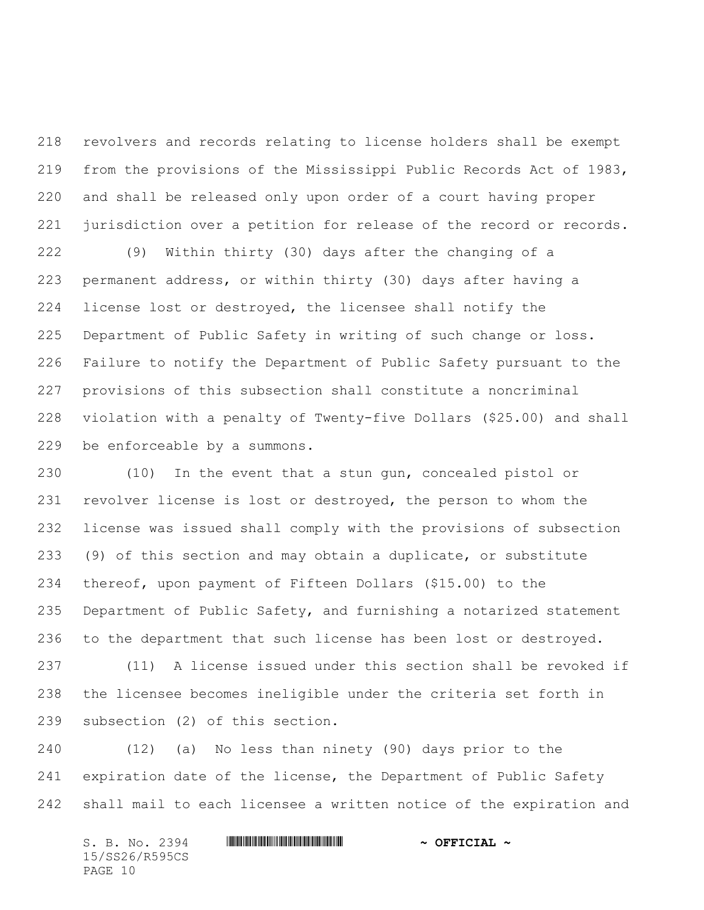revolvers and records relating to license holders shall be exempt from the provisions of the Mississippi Public Records Act of 1983, and shall be released only upon order of a court having proper jurisdiction over a petition for release of the record or records.

 (9) Within thirty (30) days after the changing of a permanent address, or within thirty (30) days after having a license lost or destroyed, the licensee shall notify the Department of Public Safety in writing of such change or loss. Failure to notify the Department of Public Safety pursuant to the provisions of this subsection shall constitute a noncriminal violation with a penalty of Twenty-five Dollars (\$25.00) and shall be enforceable by a summons.

 (10) In the event that a stun gun, concealed pistol or revolver license is lost or destroyed, the person to whom the license was issued shall comply with the provisions of subsection (9) of this section and may obtain a duplicate, or substitute thereof, upon payment of Fifteen Dollars (\$15.00) to the Department of Public Safety, and furnishing a notarized statement to the department that such license has been lost or destroyed. (11) A license issued under this section shall be revoked if the licensee becomes ineligible under the criteria set forth in

subsection (2) of this section.

 (12) (a) No less than ninety (90) days prior to the 241 expiration date of the license, the Department of Public Safety shall mail to each licensee a written notice of the expiration and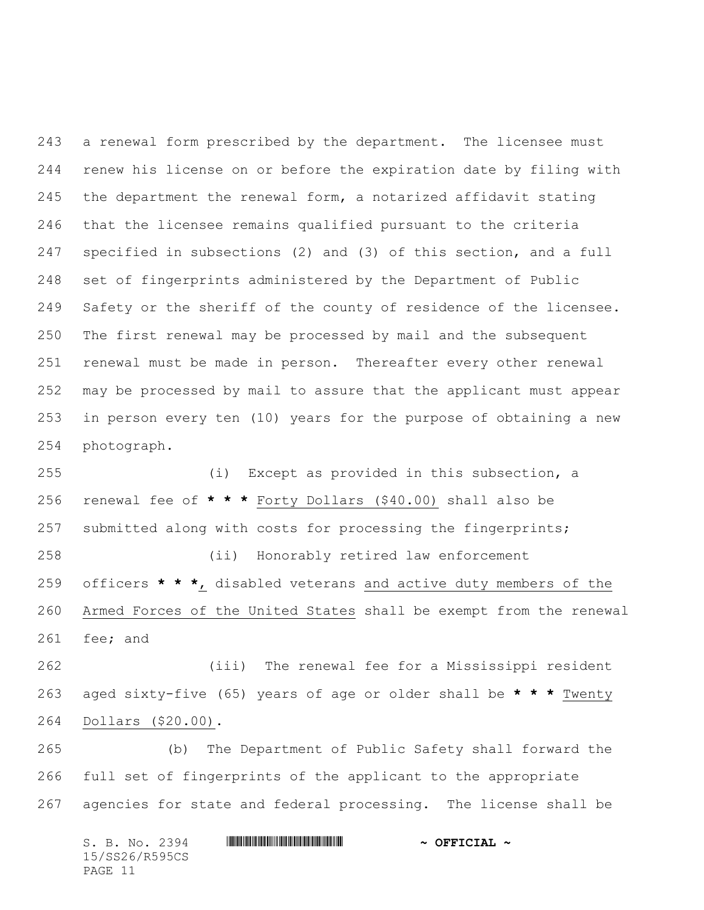a renewal form prescribed by the department. The licensee must renew his license on or before the expiration date by filing with the department the renewal form, a notarized affidavit stating that the licensee remains qualified pursuant to the criteria specified in subsections (2) and (3) of this section, and a full set of fingerprints administered by the Department of Public Safety or the sheriff of the county of residence of the licensee. The first renewal may be processed by mail and the subsequent renewal must be made in person. Thereafter every other renewal may be processed by mail to assure that the applicant must appear in person every ten (10) years for the purpose of obtaining a new photograph.

 (i) Except as provided in this subsection, a renewal fee of **\* \* \*** Forty Dollars (\$40.00) shall also be submitted along with costs for processing the fingerprints; (ii) Honorably retired law enforcement officers **\* \* \***, disabled veterans and active duty members of the Armed Forces of the United States shall be exempt from the renewal fee; and

 (iii) The renewal fee for a Mississippi resident aged sixty-five (65) years of age or older shall be **\* \* \*** Twenty Dollars (\$20.00).

 (b) The Department of Public Safety shall forward the full set of fingerprints of the applicant to the appropriate agencies for state and federal processing. The license shall be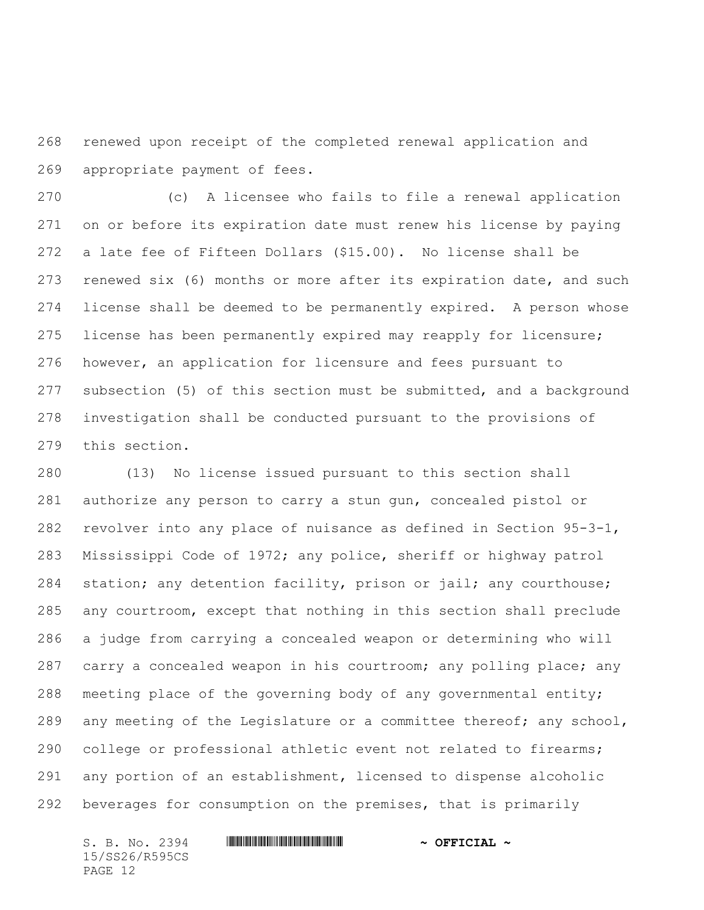renewed upon receipt of the completed renewal application and appropriate payment of fees.

 (c) A licensee who fails to file a renewal application on or before its expiration date must renew his license by paying a late fee of Fifteen Dollars (\$15.00). No license shall be renewed six (6) months or more after its expiration date, and such license shall be deemed to be permanently expired. A person whose license has been permanently expired may reapply for licensure; however, an application for licensure and fees pursuant to subsection (5) of this section must be submitted, and a background investigation shall be conducted pursuant to the provisions of this section.

 (13) No license issued pursuant to this section shall authorize any person to carry a stun gun, concealed pistol or revolver into any place of nuisance as defined in Section 95-3-1, Mississippi Code of 1972; any police, sheriff or highway patrol 284 station; any detention facility, prison or jail; any courthouse; any courtroom, except that nothing in this section shall preclude a judge from carrying a concealed weapon or determining who will carry a concealed weapon in his courtroom; any polling place; any meeting place of the governing body of any governmental entity; 289 any meeting of the Legislature or a committee thereof; any school, college or professional athletic event not related to firearms; any portion of an establishment, licensed to dispense alcoholic beverages for consumption on the premises, that is primarily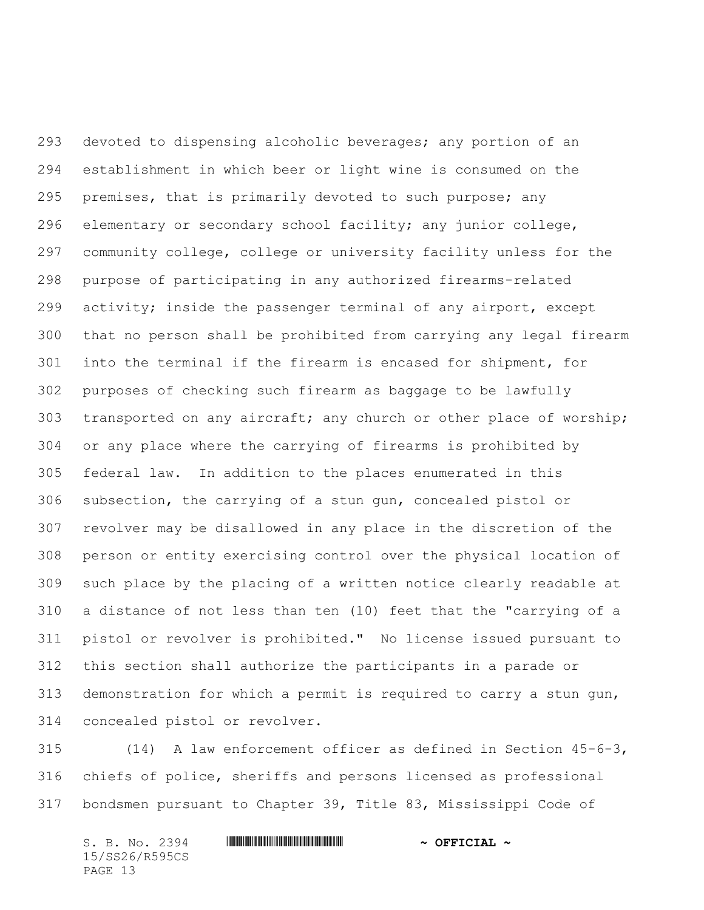devoted to dispensing alcoholic beverages; any portion of an establishment in which beer or light wine is consumed on the premises, that is primarily devoted to such purpose; any elementary or secondary school facility; any junior college, community college, college or university facility unless for the purpose of participating in any authorized firearms-related activity; inside the passenger terminal of any airport, except that no person shall be prohibited from carrying any legal firearm into the terminal if the firearm is encased for shipment, for purposes of checking such firearm as baggage to be lawfully transported on any aircraft; any church or other place of worship; or any place where the carrying of firearms is prohibited by federal law. In addition to the places enumerated in this subsection, the carrying of a stun gun, concealed pistol or revolver may be disallowed in any place in the discretion of the person or entity exercising control over the physical location of such place by the placing of a written notice clearly readable at a distance of not less than ten (10) feet that the "carrying of a pistol or revolver is prohibited." No license issued pursuant to this section shall authorize the participants in a parade or demonstration for which a permit is required to carry a stun gun, concealed pistol or revolver.

 (14) A law enforcement officer as defined in Section 45-6-3, chiefs of police, sheriffs and persons licensed as professional bondsmen pursuant to Chapter 39, Title 83, Mississippi Code of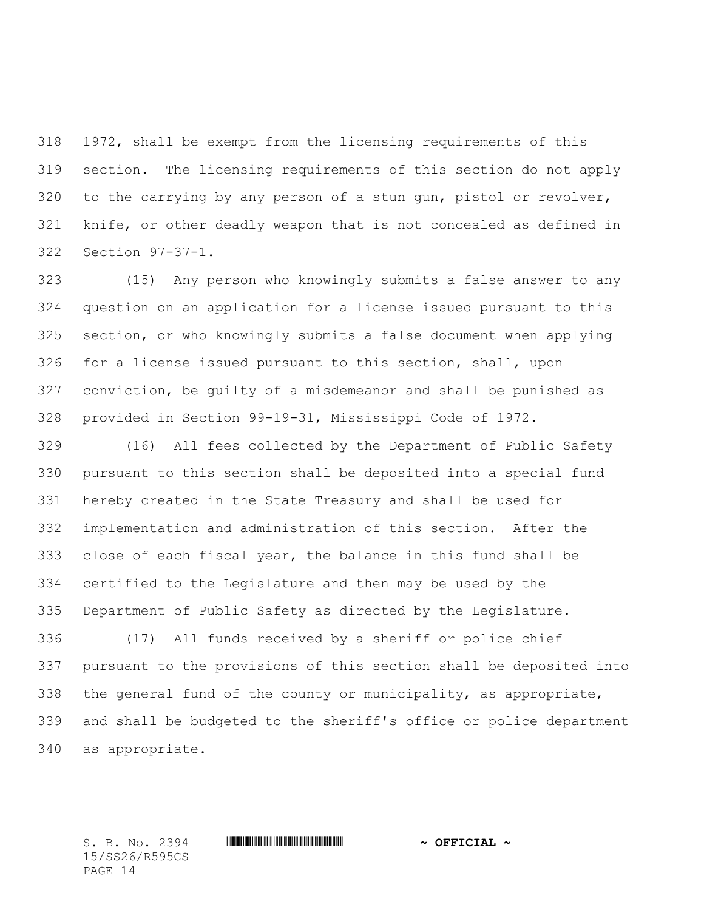1972, shall be exempt from the licensing requirements of this section. The licensing requirements of this section do not apply to the carrying by any person of a stun gun, pistol or revolver, knife, or other deadly weapon that is not concealed as defined in Section 97-37-1.

 (15) Any person who knowingly submits a false answer to any question on an application for a license issued pursuant to this section, or who knowingly submits a false document when applying for a license issued pursuant to this section, shall, upon conviction, be guilty of a misdemeanor and shall be punished as provided in Section 99-19-31, Mississippi Code of 1972.

 (16) All fees collected by the Department of Public Safety pursuant to this section shall be deposited into a special fund hereby created in the State Treasury and shall be used for implementation and administration of this section. After the close of each fiscal year, the balance in this fund shall be certified to the Legislature and then may be used by the Department of Public Safety as directed by the Legislature.

 (17) All funds received by a sheriff or police chief pursuant to the provisions of this section shall be deposited into the general fund of the county or municipality, as appropriate, and shall be budgeted to the sheriff's office or police department as appropriate.

15/SS26/R595CS PAGE 14